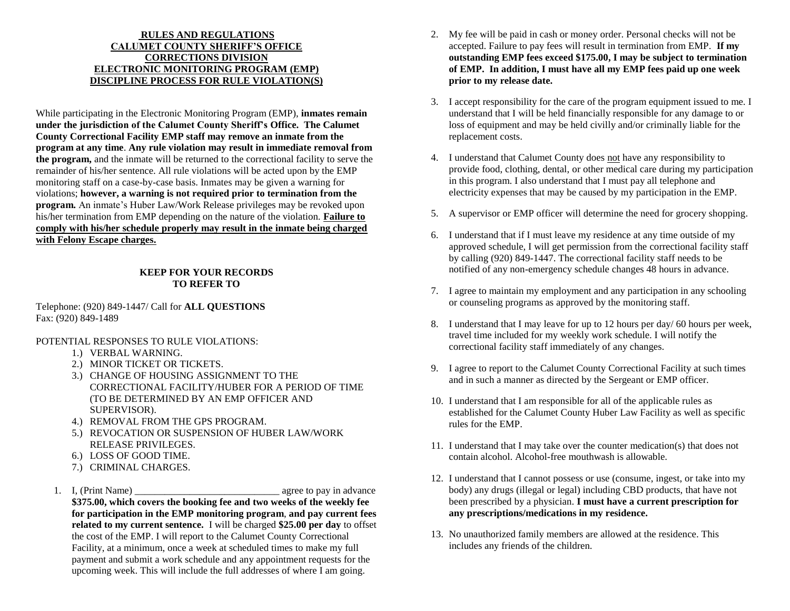#### **RULES AND REGULATIONS CALUMET COUNTY SHERIFF'S OFFICE CORRECTIONS DIVISION ELECTRONIC MONITORING PROGRAM (EMP) DISCIPLINE PROCESS FOR RULE VIOLATION(S)**

While participating in the Electronic Monitoring Program (EMP), **inmates remain under the jurisdiction of the Calumet County Sheriff's Office. The Calumet County Correctional Facility EMP staff may remove an inmate from the program at any time**. **Any rule violation may result in immediate removal from the program,** and the inmate will be returned to the correctional facility to serve the remainder of his/her sentence. All rule violations will be acted upon by the EMP monitoring staff on a case-by-case basis. Inmates may be given a warning for violations; **however, a warning is not required prior to termination from the program.** An inmate's Huber Law/Work Release privileges may be revoked upon his/her termination from EMP depending on the nature of the violation. **Failure to comply with his/her schedule properly may result in the inmate being charged with Felony Escape charges.**

### **KEEP FOR YOUR RECORDS TO REFER TO**

Telephone: (920) 849-1447/ Call for **ALL QUESTIONS** Fax: (920) 849-1489

POTENTIAL RESPONSES TO RULE VIOLATIONS:

- 1.) VERBAL WARNING.
- 2.) MINOR TICKET OR TICKETS.
- 3.) CHANGE OF HOUSING ASSIGNMENT TO THE CORRECTIONAL FACILITY/HUBER FOR A PERIOD OF TIME (TO BE DETERMINED BY AN EMP OFFICER AND SUPERVISOR).
- 4.) REMOVAL FROM THE GPS PROGRAM.
- 5.) REVOCATION OR SUSPENSION OF HUBER LAW/WORK RELEASE PRIVILEGES.
- 6.) LOSS OF GOOD TIME.
- 7.) CRIMINAL CHARGES.
- 1. I, (Print Name) agree to pay in advance **\$375.00, which covers the booking fee and two weeks of the weekly fee for participation in the EMP monitoring program**, **and pay current fees related to my current sentence.** I will be charged **\$25.00 per day** to offset the cost of the EMP. I will report to the Calumet County Correctional Facility, at a minimum, once a week at scheduled times to make my full payment and submit a work schedule and any appointment requests for the upcoming week. This will include the full addresses of where I am going.
- 2. My fee will be paid in cash or money order. Personal checks will not be accepted. Failure to pay fees will result in termination from EMP. **If my outstanding EMP fees exceed \$175.00, I may be subject to termination of EMP. In addition, I must have all my EMP fees paid up one week prior to my release date.**
- 3. I accept responsibility for the care of the program equipment issued to me. I understand that I will be held financially responsible for any damage to or loss of equipment and may be held civilly and/or criminally liable for the replacement costs.
- 4. I understand that Calumet County does not have any responsibility to provide food, clothing, dental, or other medical care during my participation in this program. I also understand that I must pay all telephone and electricity expenses that may be caused by my participation in the EMP.
- 5. A supervisor or EMP officer will determine the need for grocery shopping.
- 6. I understand that if I must leave my residence at any time outside of my approved schedule, I will get permission from the correctional facility staff by calling (920) 849-1447. The correctional facility staff needs to be notified of any non-emergency schedule changes 48 hours in advance.
- 7. I agree to maintain my employment and any participation in any schooling or counseling programs as approved by the monitoring staff.
- 8. I understand that I may leave for up to 12 hours per day/ 60 hours per week, travel time included for my weekly work schedule. I will notify the correctional facility staff immediately of any changes.
- 9. I agree to report to the Calumet County Correctional Facility at such times and in such a manner as directed by the Sergeant or EMP officer.
- 10. I understand that I am responsible for all of the applicable rules as established for the Calumet County Huber Law Facility as well as specific rules for the EMP.
- 11. I understand that I may take over the counter medication(s) that does not contain alcohol. Alcohol-free mouthwash is allowable.
- 12. I understand that I cannot possess or use (consume, ingest, or take into my body) any drugs (illegal or legal) including CBD products, that have not been prescribed by a physician. **I must have a current prescription for any prescriptions/medications in my residence.**
- 13. No unauthorized family members are allowed at the residence. This includes any friends of the children.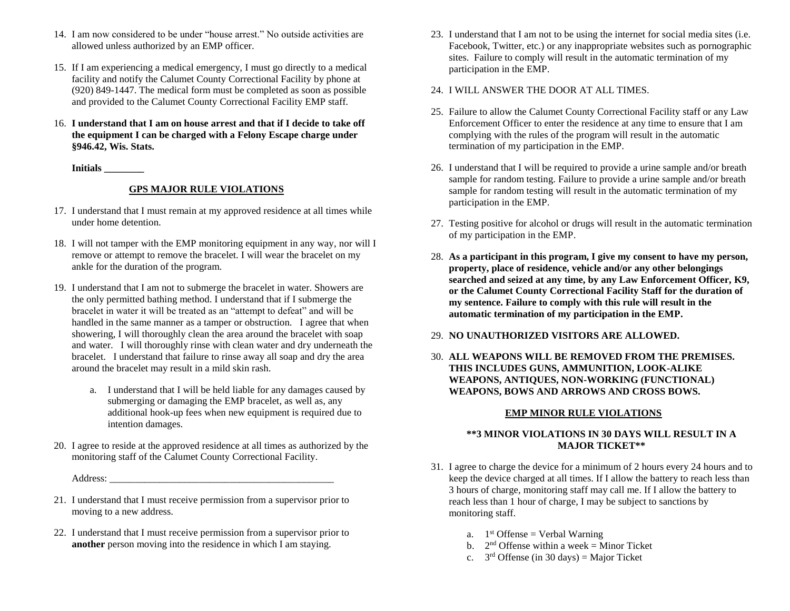- 14. I am now considered to be under "house arrest." No outside activities are allowed unless authorized by an EMP officer.
- 15. If I am experiencing a medical emergency, I must go directly to a medical facility and notify the Calumet County Correctional Facility by phone at (920) 849-1447. The medical form must be completed as soon as possible and provided to the Calumet County Correctional Facility EMP staff.
- 16. **I understand that I am on house arrest and that if I decide to take off the equipment I can be charged with a Felony Escape charge under §946.42, Wis. Stats.**

**Initials \_\_\_\_\_\_\_\_**

# **GPS MAJOR RULE VIOLATIONS**

- 17. I understand that I must remain at my approved residence at all times while under home detention.
- 18. I will not tamper with the EMP monitoring equipment in any way, nor will I remove or attempt to remove the bracelet. I will wear the bracelet on my ankle for the duration of the program.
- 19. I understand that I am not to submerge the bracelet in water. Showers are the only permitted bathing method. I understand that if I submerge the bracelet in water it will be treated as an "attempt to defeat" and will be handled in the same manner as a tamper or obstruction. I agree that when showering, I will thoroughly clean the area around the bracelet with soap and water. I will thoroughly rinse with clean water and dry underneath the bracelet. I understand that failure to rinse away all soap and dry the area around the bracelet may result in a mild skin rash.
	- a. I understand that I will be held liable for any damages caused by submerging or damaging the EMP bracelet, as well as, any additional hook-up fees when new equipment is required due to intention damages.
- 20. I agree to reside at the approved residence at all times as authorized by the monitoring staff of the Calumet County Correctional Facility.

Address: \_\_\_\_\_\_\_\_\_\_\_\_\_\_\_\_\_\_\_\_\_\_\_\_\_\_\_\_\_\_\_\_\_\_\_\_\_\_\_\_\_\_\_\_\_

- 21. I understand that I must receive permission from a supervisor prior to moving to a new address.
- 22. I understand that I must receive permission from a supervisor prior to **another** person moving into the residence in which I am staying.
- 23. I understand that I am not to be using the internet for social media sites (i.e. Facebook, Twitter, etc.) or any inappropriate websites such as pornographic sites. Failure to comply will result in the automatic termination of my participation in the EMP.
- 24. I WILL ANSWER THE DOOR AT ALL TIMES.
- 25. Failure to allow the Calumet County Correctional Facility staff or any Law Enforcement Officer to enter the residence at any time to ensure that I am complying with the rules of the program will result in the automatic termination of my participation in the EMP.
- 26. I understand that I will be required to provide a urine sample and/or breath sample for random testing. Failure to provide a urine sample and/or breath sample for random testing will result in the automatic termination of my participation in the EMP.
- 27. Testing positive for alcohol or drugs will result in the automatic termination of my participation in the EMP.
- 28. **As a participant in this program, I give my consent to have my person, property, place of residence, vehicle and/or any other belongings searched and seized at any time, by any Law Enforcement Officer, K9, or the Calumet County Correctional Facility Staff for the duration of my sentence. Failure to comply with this rule will result in the automatic termination of my participation in the EMP.**
- 29. **NO UNAUTHORIZED VISITORS ARE ALLOWED.**
- 30. **ALL WEAPONS WILL BE REMOVED FROM THE PREMISES. THIS INCLUDES GUNS, AMMUNITION, LOOK-ALIKE WEAPONS, ANTIQUES, NON-WORKING (FUNCTIONAL) WEAPONS, BOWS AND ARROWS AND CROSS BOWS.**

## **EMP MINOR RULE VIOLATIONS**

### **\*\*3 MINOR VIOLATIONS IN 30 DAYS WILL RESULT IN A MAJOR TICKET\*\***

- 31. I agree to charge the device for a minimum of 2 hours every 24 hours and to keep the device charged at all times. If I allow the battery to reach less than 3 hours of charge, monitoring staff may call me. If I allow the battery to reach less than 1 hour of charge, I may be subject to sanctions by monitoring staff.
	- a.  $1<sup>st</sup>$  Offense = Verbal Warning
	- b.  $2<sup>nd</sup>$  Offense within a week = Minor Ticket
	- c.  $3<sup>rd</sup>$  Offense (in 30 days) = Major Ticket